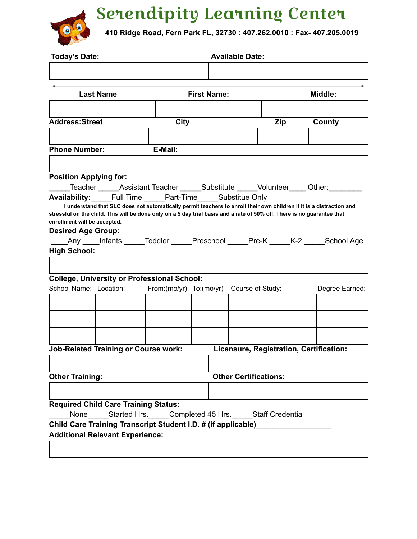## Serendipity Learning Center



**410 Ridge Road, Fern Park FL, 32730 : 407.262.0010 : Fax- 407.205.0019**

| <b>Today's Date:</b>          |                                             |                                                                                                                         | <b>Available Date:</b> |                    |                              |            |  |                                                                                            |
|-------------------------------|---------------------------------------------|-------------------------------------------------------------------------------------------------------------------------|------------------------|--------------------|------------------------------|------------|--|--------------------------------------------------------------------------------------------|
|                               | <b>Last Name</b>                            |                                                                                                                         |                        | <b>First Name:</b> |                              |            |  | Middle:                                                                                    |
|                               |                                             |                                                                                                                         |                        |                    |                              |            |  |                                                                                            |
| <b>Address:Street</b>         |                                             | City                                                                                                                    |                        |                    |                              | <b>Zip</b> |  | County                                                                                     |
|                               |                                             |                                                                                                                         |                        |                    |                              |            |  |                                                                                            |
| <b>Phone Number:</b>          |                                             | E-Mail:                                                                                                                 |                        |                    |                              |            |  |                                                                                            |
|                               |                                             |                                                                                                                         |                        |                    |                              |            |  |                                                                                            |
| <b>Position Applying for:</b> |                                             |                                                                                                                         |                        |                    |                              |            |  |                                                                                            |
|                               |                                             | Teacher Assistant Teacher Substitute Volunteer Other:                                                                   |                        |                    |                              |            |  |                                                                                            |
|                               |                                             | <b>Availability:</b> Full Time Part-Time Substitue Only                                                                 |                        |                    |                              |            |  |                                                                                            |
|                               |                                             | I understand that SLC does not automatically permit teachers to enroll their own children if it is a distraction and    |                        |                    |                              |            |  |                                                                                            |
|                               |                                             | stressful on the child. This will be done only on a 5 day trial basis and a rate of 50% off. There is no guarantee that |                        |                    |                              |            |  |                                                                                            |
| enrollment will be accepted.  |                                             |                                                                                                                         |                        |                    |                              |            |  |                                                                                            |
| <b>Desired Age Group:</b>     |                                             |                                                                                                                         |                        |                    |                              |            |  |                                                                                            |
|                               |                                             |                                                                                                                         |                        |                    |                              |            |  | _____Any _____Infants ______Toddler ______Preschool ______Pre-K ______K-2 ______School Age |
|                               |                                             |                                                                                                                         |                        |                    |                              |            |  |                                                                                            |
| High School:                  |                                             |                                                                                                                         |                        |                    |                              |            |  |                                                                                            |
|                               |                                             |                                                                                                                         |                        |                    |                              |            |  |                                                                                            |
|                               |                                             |                                                                                                                         |                        |                    |                              |            |  |                                                                                            |
|                               |                                             | <b>College, University or Professional School:</b>                                                                      |                        |                    |                              |            |  |                                                                                            |
|                               | School Name: Location:                      | From:(mo/yr) To:(mo/yr) Course of Study:                                                                                |                        |                    |                              |            |  | Degree Earned:                                                                             |
|                               |                                             |                                                                                                                         |                        |                    |                              |            |  |                                                                                            |
|                               |                                             |                                                                                                                         |                        |                    |                              |            |  |                                                                                            |
|                               |                                             |                                                                                                                         |                        |                    |                              |            |  |                                                                                            |
|                               |                                             |                                                                                                                         |                        |                    |                              |            |  |                                                                                            |
|                               |                                             |                                                                                                                         |                        |                    |                              |            |  |                                                                                            |
|                               | <b>Job-Related Training or Course work:</b> |                                                                                                                         |                        |                    |                              |            |  | Licensure, Registration, Certification:                                                    |
|                               |                                             |                                                                                                                         |                        |                    |                              |            |  |                                                                                            |
| <b>Other Training:</b>        |                                             |                                                                                                                         |                        |                    | <b>Other Certifications:</b> |            |  |                                                                                            |
|                               |                                             |                                                                                                                         |                        |                    |                              |            |  |                                                                                            |
|                               |                                             |                                                                                                                         |                        |                    |                              |            |  |                                                                                            |
|                               | <b>Required Child Care Training Status:</b> |                                                                                                                         |                        |                    |                              |            |  |                                                                                            |
| None                          |                                             | Started Hrs. Completed 45 Hrs. Staff Credential                                                                         |                        |                    |                              |            |  |                                                                                            |
|                               |                                             | Child Care Training Transcript Student I.D. # (if applicable)____________                                               |                        |                    |                              |            |  |                                                                                            |
|                               | <b>Additional Relevant Experience:</b>      |                                                                                                                         |                        |                    |                              |            |  |                                                                                            |
|                               |                                             |                                                                                                                         |                        |                    |                              |            |  |                                                                                            |
|                               |                                             |                                                                                                                         |                        |                    |                              |            |  |                                                                                            |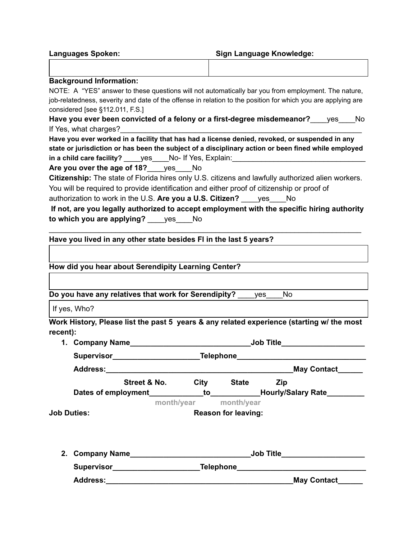| <b>Background Information:</b>                                                                               |      |
|--------------------------------------------------------------------------------------------------------------|------|
| NOTE: A "YES" answer to these questions will not automatically bar you from employment. The nature,          |      |
| job-relatedness, severity and date of the offense in relation to the position for which you are applying are |      |
| considered [see §112.011, F.S.]                                                                              |      |
| Have you ever been convicted of a felony or a first-degree misdemeanor? yes                                  | - No |
| If Yes, what charges?                                                                                        |      |
| Have you ever worked in a facility that has had a license denied, revoked, or suspended in any               |      |
| state or jurisdiction or has been the subject of a disciplinary action or been fined while employed          |      |
| yes No- If Yes, Explain:<br>in a child care facility?                                                        |      |

**Are you over the age of 18?**\_\_\_\_yes\_\_\_\_No **Citizenship:** The state of Florida hires only U.S. citizens and lawfully authorized alien workers. You will be required to provide identification and either proof of citizenship or proof of

authorization to work in the U.S. **Are you a U.S. Citizen?** \_\_\_\_yes\_\_\_\_No

**Languages Spoken: Sign Language Knowledge:**

| If not, are you legally authorized to accept employment with the specific hiring authority |     |  |  |
|--------------------------------------------------------------------------------------------|-----|--|--|
| to which you are applying?                                                                 | ves |  |  |

 $\mathcal{L}_\text{max}$  and  $\mathcal{L}_\text{max}$  and  $\mathcal{L}_\text{max}$  and  $\mathcal{L}_\text{max}$  and  $\mathcal{L}_\text{max}$  and  $\mathcal{L}_\text{max}$ 

## **Have you lived in any other state besides Fl in the last 5 years?**

| How did you hear about Serendipity Learning Center?                                       |                             |                                                                                  |                            |     |                    |  |
|-------------------------------------------------------------------------------------------|-----------------------------|----------------------------------------------------------------------------------|----------------------------|-----|--------------------|--|
|                                                                                           |                             |                                                                                  |                            |     |                    |  |
| Do you have any relatives that work for Serendipity? ves                                  |                             |                                                                                  |                            | No. |                    |  |
| If yes, Who?                                                                              |                             |                                                                                  |                            |     |                    |  |
| Work History, Please list the past 5 years & any related experience (starting w/ the most |                             |                                                                                  |                            |     |                    |  |
| recent):                                                                                  |                             |                                                                                  |                            |     |                    |  |
| 1.   Company Name__________________________________Job Title____________________          |                             |                                                                                  |                            |     |                    |  |
|                                                                                           |                             | Supervisor_______________________________Telephone______________________________ |                            |     |                    |  |
|                                                                                           |                             |                                                                                  |                            |     | <b>May Contact</b> |  |
|                                                                                           | Street & No. City State Zip |                                                                                  |                            |     |                    |  |
| Dates of employment______________to______________Hourly/Salary Rate___________            |                             |                                                                                  |                            |     |                    |  |
|                                                                                           |                             | month/year month/year                                                            |                            |     |                    |  |
| <b>Job Duties:</b>                                                                        |                             |                                                                                  | <b>Reason for leaving:</b> |     |                    |  |
|                                                                                           |                             |                                                                                  |                            |     |                    |  |
|                                                                                           |                             |                                                                                  |                            |     |                    |  |
| Supervisor______________________________Telephone_______________________________          |                             |                                                                                  |                            |     |                    |  |
| <b>Address:</b>                                                                           |                             |                                                                                  |                            |     | <b>May Contact</b> |  |